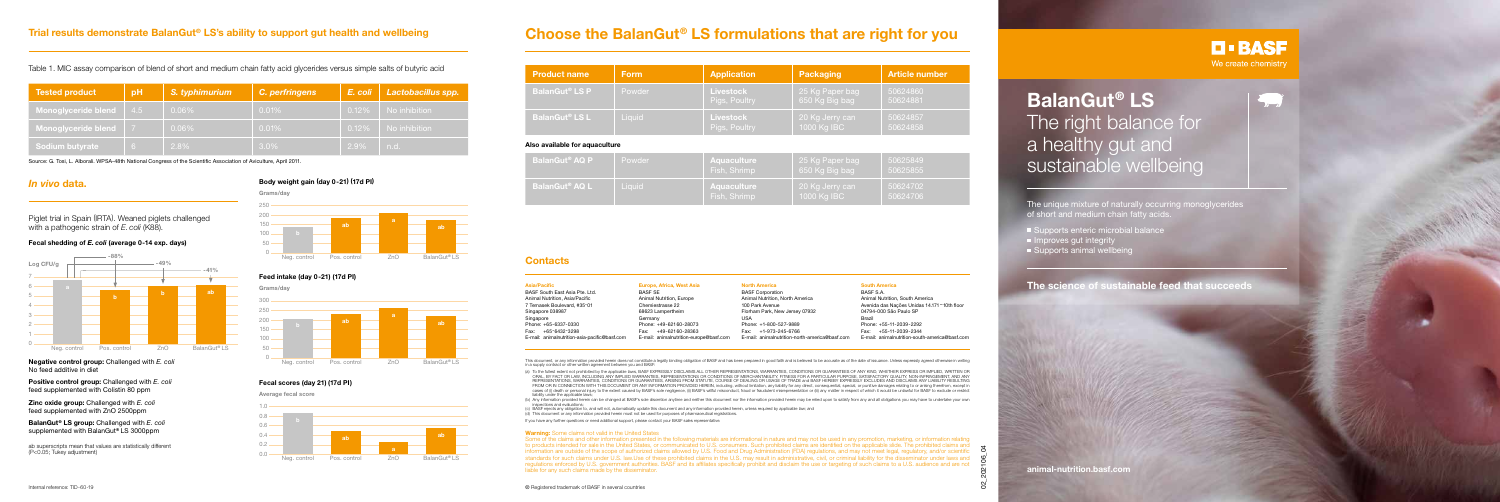# **Trial results demonstrate BalanGut® LS's ability to support gut health and wellbeing**

### *In vivo* **data.**

Table 1. MIC assay comparison of blend of short and medium chain fatty acid glycerides versus simple salts of butyric acid

Piglet trial in Spain (IRTA). Weaned piglets challenged with a pathogenic strain of *E. coli* (K88).

Source: G. Tosi, L. Alborali. WPSA-48th National Congress of the Scientific Association of Aviculture, April 2011.

**Negative control group:** Challenged with *E. coli* No feed additive in diet

**Positive control group:** Challenged with *E. coli* feed supplemented with Colistin 80 ppm

**Zinc oxide group:** Challenged with *E. coli* feed supplemented with ZnO 2500ppm

**BalanGut**® **LS group:** Challenged with *E. coli* supplemented with BalanGut**®** LS 3000ppm

ab superscripts mean that values are statistically different (P<0.05; Tukey adjustment)

| <b>Tested product</b>  | pH  | S. typhimurium | C. perfringens | $E.$ coli $\parallel$ | <b>Lactobacillus spp.</b> |
|------------------------|-----|----------------|----------------|-----------------------|---------------------------|
| Monoglyceride blend    | 4.5 | $0.06\%$       | 0.01%          | $0.12\%$              | No inhibition             |
| Monoglyceride blend 7  |     | $0.06\%$       | 0.01%          | $0.12\%$              | No inhibition             |
| <b>Sodium butyrate</b> | -6. | 2.8%           | $3.0\%$        | 2.9%                  | n.d.                      |

**BalanGut**® **LS** The right balance for a healthy gut and sustainable wellbeing

The unique mixture of naturally occurring monoglycerides of short and medium chain fatty acids

- Supports enteric microbial balance
- $\blacksquare$  Improves gut integrity
- Supports animal wellbeing



#### **Body weight gain (day 0-21) (17d PI)**

**Average fecal score**



#### **Fecal scores (day 21) (17d PI)**



#### **Feed intake (day 0-21) (17d PI)**

**animal-nutrition.basf.com**

#### **Fecal shedding of** *E. coli* **(average 0-14 exp. days)**



This document, or any information provided herein does not constitute a legally binding obligation of BASF and has been prepared in good faith and is believed to be accurate as of the date of issuance. Unless expressly agr in a supply contract or other written agreement between you and BASF:

**The science of sustainable feed that succeeds**

# **Choose the BalanGut® LS formulations that are right for you**

| <b>Product name</b>              | <b>Form</b> | <b>Application</b>                | Packaging                         | <b>Article number</b> |  |
|----------------------------------|-------------|-----------------------------------|-----------------------------------|-----------------------|--|
| <b>BalanGut<sup>®</sup> LS P</b> | Powder      | <b>Livestock</b><br>Pigs, Poultry | 25 Kg Paper bag<br>650 Kg Big bag | 50624860<br>50624881  |  |
| BalanGut <sup>®</sup> LS L       | Liquid      | <b>Livestock</b><br>Pigs, Poultry | 20 Kg Jerry can<br>1000 Kg IBC    | 50624857<br>50624858  |  |
| Also available for aquaculture   |             |                                   |                                   |                       |  |
| <b>BalanGut<sup>®</sup> AQ P</b> | Powder      | Aquaculture                       | 25 Kg Paper bag                   | 50625849              |  |

(a) To the fullest extent not prohibited by the applicable laws, BASF EXPRESSLY DISCLAIMS ALL OTHER REPRESENTATIONS, WARRANTIES, CONDITIONS OR GUARANTEES OF ANY KIND, WHETHER EXPRESS OR IMPLIED, WRITTEN OR ORAL, BY FACT OR LAW, INCLUDING ANY IMPLIED WARRANTIES, REPRESENTATIONS OR CONDITIONS OF MERCHANTABILITY, FITNESS FOR A PARTICULAR PURPOSE, SATISFACTORY QUALITY, NON-INFRINGEMENT, AND ANY REPRESENTATIONS, WARRANTIES, CONDITIONS OR GUARANTEES, ARISING FROM STATUTE, COURSE OF DEALING OR USAGE OF TRADE and BASF HEREBY EXPRESSLY EXCLUDES AND DISCLAIMS ANY LIABILITY RESULTING FROM OR IN CONNECTION WITH THIS DOCUMENT OR ANY INFORMATION PROVIDED HEREIN, including, without limitation, any liability for any direct, consequential, special, or punitive damages relating to or arising therefrom, except cases of (i) death or personal injury to the extent caused by BASF's sole negligence, (ii) BASF's willful misconduct, fraud or fraudulent misrepresentation or (iii) any matter in respect of which it would be unlawful for B liability under the applicable laws;

| <b>BalanGut<sup>®</sup> AQ P</b> | Powder | <b>Aquaculture</b><br>Fish, Shrimp |
|----------------------------------|--------|------------------------------------|
| <b>BalanGut<sup>®</sup> AQ L</b> | Liauid | <b>Aquaculture</b><br>Fish, Shrimp |

| 650 Kg Big bag                   | 50625855             |
|----------------------------------|----------------------|
| ∣20 Kg Jerry can'<br>1000 Kg IBC | 50624702<br>50624706 |

| Asia/Pacific                                  | Europe, Africa, West Asia               | North /     |
|-----------------------------------------------|-----------------------------------------|-------------|
| BASF South East Asia Pte. Ltd.                | <b>BASF SE</b>                          | <b>BASF</b> |
| Animal Nutrition, Asia/Pacific                | Animal Nutrition, Europe                | Animal      |
| 7 Temasek Boulevard, #35-01                   | Chemiestrasse 22                        | 100 Pa      |
| Singapore 038987                              | 68623 Lampertheim                       | Florhan     |
| Singapore                                     | Germany                                 | <b>USA</b>  |
| Phone: +65-6337-0330                          | Phone: +49-62160-28073                  | Phone:      |
| +65-6432-3298<br>Fax:                         | +49-62160-28363<br>Fax:                 | Fax:        |
| E-mail: animalnutrition-asia-pacific@basf.com | E-mail: animalnutrition-europe@basf.com | E-mail:     |
|                                               |                                         |             |

#### **North America**

Corporation I Nutrition, North America ark Avenue m Park, New Jersey 07932

 $+1-800-527-9889$ +1-973-245-6766 animalnutrition-north-america@basf.com

#### **South America**

BASF S.A. Animal Nutrition, South America Avenida das Nações Unidas 14.171 – 10th floor 04794-000 São Paulo SP Brazil Phone: +55-11-2039-2292 Fax: +55-11-2039-2344 E-mail: animalnutrition-south-america@basf.com

(b) Any information provided herein can be changed at BASF's sole discretion anytime and neither this document nor the information provided herein may be relied upon to satisfy from any and all obligations you may have to

**D-BASF** We create chemistry

 $\overline{a}$ 

### **Contacts**

Internal reference: TID-60-19 ® Registered trademark of BASF in several countries 02 202106<sub>04</sub> Some of the claims and other information presented in the following materials are informational in nature and may not be used in any promotion, marketing, or information relating to products intended for sale in the United States, or communicated to U.S. consumers. Such prohibited claims are identified on the applicable slide. The prohibited claims and information are outside of the scope of authorized claims allowed by U.S. Food and Drug Administration (FDA) regulations, and may not meet legal, regulatory, and/or scientific standards for such claims under U.S. law.Use of these prohibited claims in the U.S. may result in administrative, civil, or criminal liability for the disseminator under laws and regulations enforced by U.S. government authorities. BASF and its affiliates specifically prohibit and disclaim the use or targeting of such claims to a U.S. audience and are not liable for any such claims made by the disseminator.

inspections and evaluations;

(c) BASF rejects any obligation to, and will not, automatically update this document and any information provided herein, unless required by applicable law; and (d) This document or any information provided herein must not be used for purposes of pharmaceutical registrations.

If you have any further questions or need additional support, please contact your BASF sales representative.

#### **Warning:** Some claims not valid in the United States